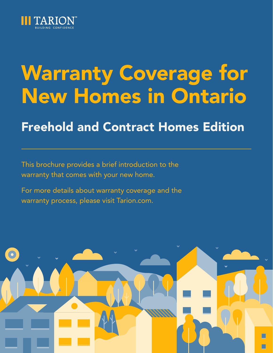

## Freehold and Contract Homes Edition

This brochure provides a brief introduction to the warranty that comes with your new home.

For more details about warranty coverage and the warranty process, please visit Tarion.com.

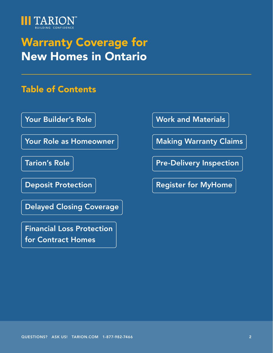

### Table of Contents

[Your Builder's Role](#page-3-0)

[Your Role as Homeowner](#page-3-0)

[Tarion's Role](#page-4-0)

[Deposit Protection](#page-5-0)

[Delayed Closing Coverage](#page-6-0)

[Financial Loss Protection](#page-7-0)  [for Contract Homes](#page-7-0)

[Work and Materials](#page-8-0)

[Making Warranty Claims](#page-11-0)

[Pre-Delivery Inspection](#page-13-0) 

[Register for MyHome](#page-14-0)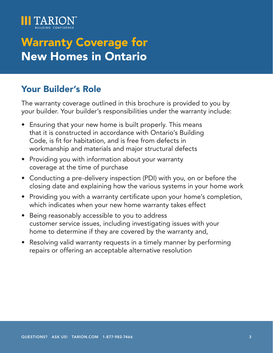

### Your Builder's Role

The warranty coverage outlined in this brochure is provided to you by your builder. Your builder's responsibilities under the warranty include:

- Ensuring that your new home is built properly. This means that it is constructed in accordance with Ontario's Building Code, is fit for habitation, and is free from defects in workmanship and materials and major structural defects
- Providing you with information about your warranty coverage at the time of purchase
- Conducting a pre-delivery inspection (PDI) with you, on or before the closing date and explaining how the various systems in your home work
- Providing you with a warranty certificate upon your home's completion, which indicates when your new home warranty takes effect
- Being reasonably accessible to you to address customer service issues, including investigating issues with your home to determine if they are covered by the warranty and,
- Resolving valid warranty requests in a timely manner by performing repairs or offering an acceptable alternative resolution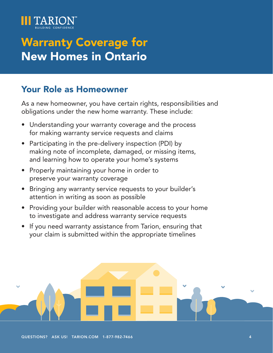<span id="page-3-0"></span>

### Your Role as Homeowner

As a new homeowner, you have certain rights, responsibilities and obligations under the new home warranty. These include:

- Understanding your warranty coverage and the process for making warranty service requests and claims
- Participating in the pre-delivery inspection (PDI) by making note of incomplete, damaged, or missing items, and learning how to operate your home's systems
- Properly maintaining your home in order to preserve your warranty coverage
- Bringing any warranty service requests to your builder's attention in writing as soon as possible
- Providing your builder with reasonable access to your home to investigate and address warranty service requests
- If you need warranty assistance from Tarion, ensuring that your claim is submitted within the appropriate timelines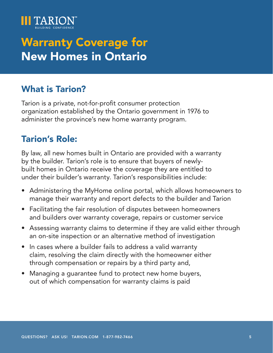<span id="page-4-0"></span>

### What is Tarion?

Tarion is a private, not-for-profit consumer protection organization established by the Ontario government in 1976 to administer the province's new home warranty program.

### Tarion's Role:

By law, all new homes built in Ontario are provided with a warranty by the builder. Tarion's role is to ensure that buyers of newlybuilt homes in Ontario receive the coverage they are entitled to under their builder's warranty. Tarion's responsibilities include:

- Administering the MyHome online portal, which allows homeowners to manage their warranty and report defects to the builder and Tarion
- Facilitating the fair resolution of disputes between homeowners and builders over warranty coverage, repairs or customer service
- Assessing warranty claims to determine if they are valid either through an on-site inspection or an alternative method of investigation
- In cases where a builder fails to address a valid warranty claim, resolving the claim directly with the homeowner either through compensation or repairs by a third party and,
- Managing a guarantee fund to protect new home buyers, out of which compensation for warranty claims is paid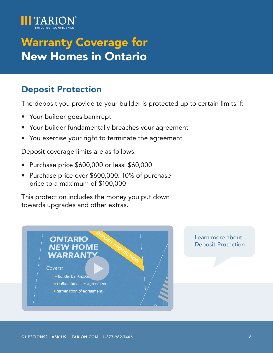<span id="page-5-0"></span>

### Deposit Protection

The deposit you provide to your builder is protected up to certain limits if:

- Your builder goes bankrupt
- Your builder fundamentally breaches your agreement
- You exercise your right to terminate the agreement

Deposit coverage limits are as follows:

- Purchase price \$600,000 or less: \$60,000
- Purchase price over \$600,000: 10% of purchase price to a maximum of \$100,000

This protection includes the money you put down towards upgrades and other extras.



Learn more about [Deposit Protection](https://youtu.be/wSF8nr4lFmg)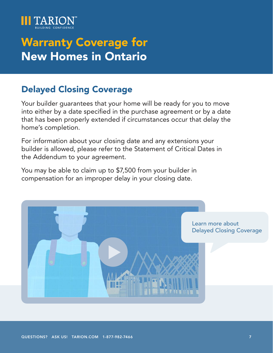<span id="page-6-0"></span>

### Delayed Closing Coverage

Your builder guarantees that your home will be ready for you to move into either by a date specified in the purchase agreement or by a date that has been properly extended if circumstances occur that delay the home's completion.

For information about your closing date and any extensions your builder is allowed, please refer to the Statement of Critical Dates in the Addendum to your agreement.

You may be able to claim up to \$7,500 from your builder in compensation for an improper delay in your closing date.

> [Lea](https://youtu.be/SohC3yKCJWo)rn more about [Delayed Closing Coverage](https://youtu.be/SohC3yKCJWo)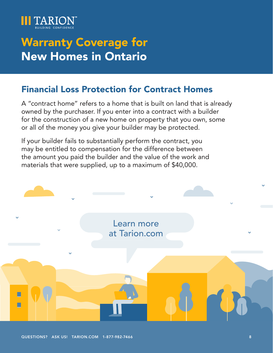<span id="page-7-0"></span>

### Financial Loss Protection for Contract Homes

A "contract home" refers to a home that is built on land that is already owned by the purchaser. If you enter into a contract with a builder for the construction of a new home on property that you own, some or all of the money you give your builder may be protected.

If your builder fails to substantially perform the contract, you may be entitled to compensation for the difference between the amount you paid the builder and the value of the work and materials that were supplied, up to a maximum of \$40,000.

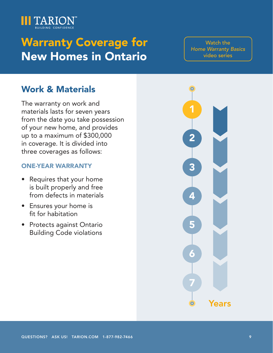<span id="page-8-0"></span>

[Watch the](https://www.youtube.com/watch?v=IVxPPpsAvrw&list=PLGI_hEM8F6SqzWwi2AHQmKeKqtTeS9BIQ)  [Home Warranty Basics](https://www.youtube.com/watch?v=IVxPPpsAvrw&list=PLGI_hEM8F6SqzWwi2AHQmKeKqtTeS9BIQ)  [video series](https://www.youtube.com/watch?v=IVxPPpsAvrw&list=PLGI_hEM8F6SqzWwi2AHQmKeKqtTeS9BIQ)

### Work & Materials

The warranty on work and materials lasts for seven years from the date you take possession of your new home, and provides up to a maximum of \$300,000 in coverage. It is divided into three coverages as follows:

#### ONE-YEAR WARRANTY

- Requires that your home is built properly and free from defects in materials
- Ensures your home is fit for habitation
- Protects against Ontario Building Code violations

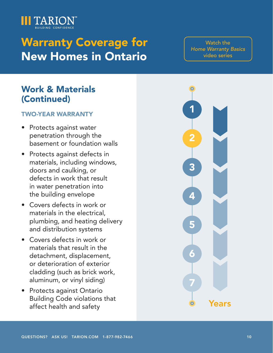

[Watch the](https://www.youtube.com/watch?v=IVxPPpsAvrw&list=PLGI_hEM8F6SqzWwi2AHQmKeKqtTeS9BIQ)  **Home Warranty Basics** [video series](https://www.youtube.com/watch?v=IVxPPpsAvrw&list=PLGI_hEM8F6SqzWwi2AHQmKeKqtTeS9BIQ)

### Work & Materials (Continued)

#### TWO-YEAR WARRANTY

- Protects against water penetration through the basement or foundation walls
- Protects against defects in materials, including windows, doors and caulking, or defects in work that result in water penetration into the building envelope
- Covers defects in work or materials in the electrical, plumbing, and heating delivery and distribution systems
- Covers defects in work or materials that result in the detachment, displacement, or deterioration of exterior cladding (such as brick work, aluminum, or vinyl siding)
- Protects against Ontario Building Code violations that affect health and safety

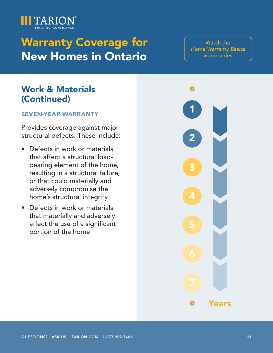

[Watch the](https://www.youtube.com/watch?v=IVxPPpsAvrw&list=PLGI_hEM8F6SqzWwi2AHQmKeKqtTeS9BIQ)  [Home Warranty Basics](https://www.youtube.com/watch?v=IVxPPpsAvrw&list=PLGI_hEM8F6SqzWwi2AHQmKeKqtTeS9BIQ)  [video series](https://www.youtube.com/watch?v=IVxPPpsAvrw&list=PLGI_hEM8F6SqzWwi2AHQmKeKqtTeS9BIQ)

### Work & Materials (Continued)

#### SEVEN-YEAR WARRANTY

Provides coverage against major structural defects. These include:

- Defects in work or materials that affect a structural loadbearing element of the home, resulting in a structural failure, or that could materially and adversely compromise the home's structural integrity
- Defects in work or materials that materially and adversely affect the use of a significant portion of the home

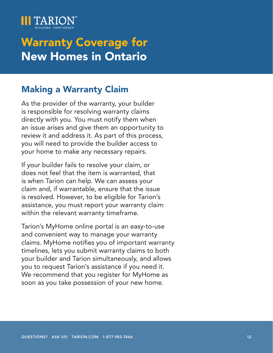<span id="page-11-0"></span>

### Making a Warranty Claim

As the provider of the warranty, your builder is responsible for resolving warranty claims directly with you. You must notify them when an issue arises and give them an opportunity to review it and address it. As part of this process, you will need to provide the builder access to your home to make any necessary repairs.

If your builder fails to resolve your claim, or does not feel that the item is warranted, that is when Tarion can help. We can assess your claim and, if warrantable, ensure that the issue is resolved. However, to be eligible for Tarion's assistance, you must report your warranty claim within the relevant warranty timeframe.

Tarion's MyHome online portal is an easy-to-use and convenient way to manage your warranty claims. MyHome notifies you of important warranty timelines, lets you submit warranty claims to both your builder and Tarion simultaneously, and allows you to request Tarion's assistance if you need it. We recommend that you register for MyHome as soon as you take possession of your new home.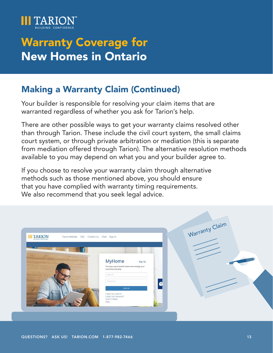

### Making a Warranty Claim (Continued)

Your builder is responsible for resolving your claim items that are warranted regardless of whether you ask for Tarion's help.

There are other possible ways to get your warranty claims resolved other than through Tarion. These include the civil court system, the small claims court system, or through private arbitration or mediation (this is separate from mediation offered through Tarion). The alternative resolution methods available to you may depend on what you and your builder agree to.

If you choose to resolve your warranty claim through alternative methods such as those mentioned above, you should ensure that you have complied with warranty timing requirements. We also recommend that you seek legal advice.

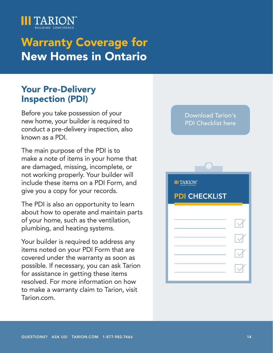<span id="page-13-0"></span>

### Your Pre-Delivery Inspection (PDI)

Before you take possession of your new home, your builder is required to conduct a pre-delivery inspection, also known as a PDI.

The main purpose of the PDI is to make a note of items in your home that are damaged, missing, incomplete, or not working properly. Your builder will include these items on a PDI Form, and give you a copy for your records.

The PDI is also an opportunity to learn about how to operate and maintain parts of your home, such as the ventilation, plumbing, and heating systems.

Your builder is required to address any items noted on your PDI Form that are covered under the warranty as soon as possible. If necessary, you can ask Tarion for assistance in getting these items resolved. For more information on how to make a warranty claim to Tarion, visit Tarion.com.

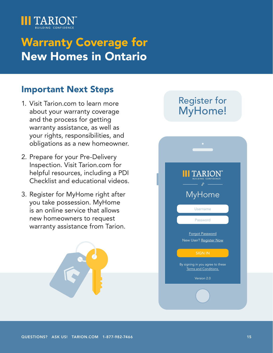<span id="page-14-0"></span>

### Important Next Steps

- 1. Visit Tarion.com to learn more about your warranty coverage and the process for getting warranty assistance, as well as your rights, responsibilities, and obligations as a new homeowner.
- 2. Prepare for your Pre-Delivery Inspection. Visit Tarion.com for helpful resources, including a PDI Checklist and educational videos.
- 3. Register for MyHome right after you take possession. MyHome is an online service that allows new homeowners to request warranty assistance from Tarion.



### Register for [MyHome!](https://myhome.tarion.com/hop)